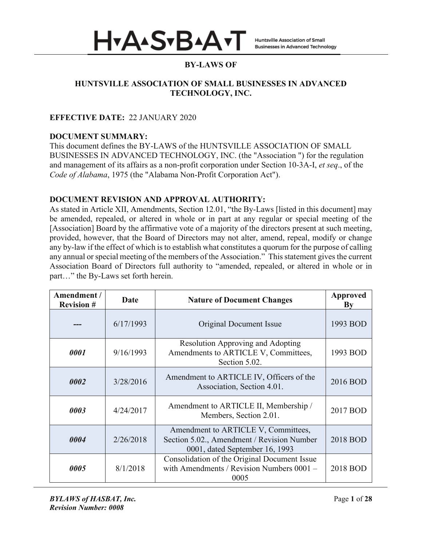## **HUNTSVILLE ASSOCIATION OF SMALL BUSINESSES IN ADVANCED TECHNOLOGY, INC.**

## **EFFECTIVE DATE:** 22 JANUARY 2020

## **DOCUMENT SUMMARY:**

This document defines the BY-LAWS of the HUNTSVILLE ASSOCIATION OF SMALL BUSINESSES IN ADVANCED TECHNOLOGY, INC. (the "Association ") for the regulation and management of its affairs as a non-profit corporation under Section 10-3A-I, *et seq*., of the *Code of Alabama*, 1975 (the "Alabama Non-Profit Corporation Act").

## **DOCUMENT REVISION AND APPROVAL AUTHORITY:**

As stated in Article XII, Amendments, Section 12.01, "the By-Laws [listed in this document] may be amended, repealed, or altered in whole or in part at any regular or special meeting of the [Association] Board by the affirmative vote of a majority of the directors present at such meeting, provided, however, that the Board of Directors may not alter, amend, repeal, modify or change any by-law if the effect of which is to establish what constitutes a quorum for the purpose of calling any annual or special meeting of the members of the Association." This statement gives the current Association Board of Directors full authority to "amended, repealed, or altered in whole or in part…" the By-Laws set forth herein.

| Amendment /<br><b>Revision #</b> | Date      | <b>Nature of Document Changes</b>                                                                                   | <b>Approved</b><br>$\mathbf{B}\mathbf{v}$ |
|----------------------------------|-----------|---------------------------------------------------------------------------------------------------------------------|-------------------------------------------|
|                                  | 6/17/1993 | Original Document Issue                                                                                             | 1993 BOD                                  |
| 0001                             | 9/16/1993 | Resolution Approving and Adopting<br>Amendments to ARTICLE V, Committees,<br>Section 5.02.                          | 1993 BOD                                  |
| 0002                             | 3/28/2016 | Amendment to ARTICLE IV, Officers of the<br>Association, Section 4.01.                                              | 2016 BOD                                  |
| 0003                             | 4/24/2017 | Amendment to ARTICLE II, Membership /<br>Members, Section 2.01.                                                     | 2017 BOD                                  |
| 0004                             | 2/26/2018 | Amendment to ARTICLE V, Committees,<br>Section 5.02., Amendment / Revision Number<br>0001, dated September 16, 1993 | 2018 BOD                                  |
| 0005                             | 8/1/2018  | Consolidation of the Original Document Issue<br>with Amendments / Revision Numbers $0001 -$<br>0005                 | 2018 BOD                                  |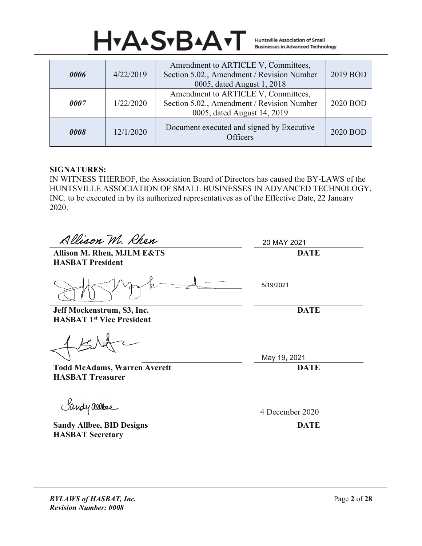# ҤѵѦѧЅѵҎѧѦѵӀ

Huntsville Association of Small **Businesses in Advanced Technology** 

| 0006 | 4/22/2019 | Amendment to ARTICLE V, Committees,<br>Section 5.02., Amendment / Revision Number<br>0005, dated August 1, 2018  | 2019 BOD |
|------|-----------|------------------------------------------------------------------------------------------------------------------|----------|
| 0007 | 1/22/2020 | Amendment to ARTICLE V, Committees,<br>Section 5.02., Amendment / Revision Number<br>0005, dated August 14, 2019 | 2020 BOD |
| 0008 | 12/1/2020 | Document executed and signed by Executive<br><b>Officers</b>                                                     | 2020 BOD |

## **SIGNATURES:**

IN WITNESS THEREOF, the Association Board of Directors has caused the BY-LAWS of the HUNTSVILLE ASSOCIATION OF SMALL BUSINESSES IN ADVANCED TECHNOLOGY, INC. to be executed in by its authorized representatives as of the Effective Date, 22 January 2020.

Allison M. Rhen 20 MAY 2021**Allison M. Rhen, MJLM E&TS DATE HASBAT President** 5/19/2021 **DATE Jeff Mockenstrum, S3, Inc. HASBAT 1st Vice President** May 19, 2021 **Todd McAdams, Warren Averett DATE HASBAT Treasurer** Sandy allbee 4 December 2020 **Sandy Allbee, BID Designs DATE HASBAT Secretary**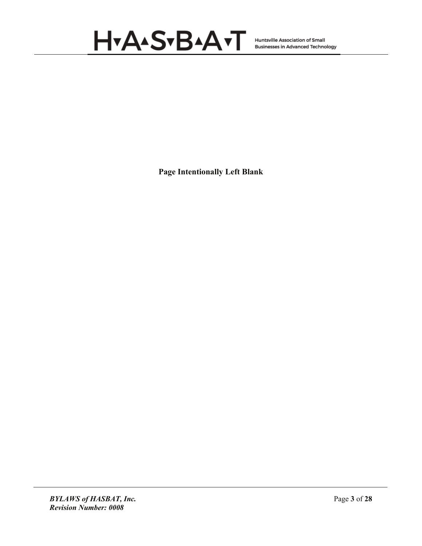Huntsville Association of Small<br>Businesses in Advanced Technology

**Page Intentionally Left Blank**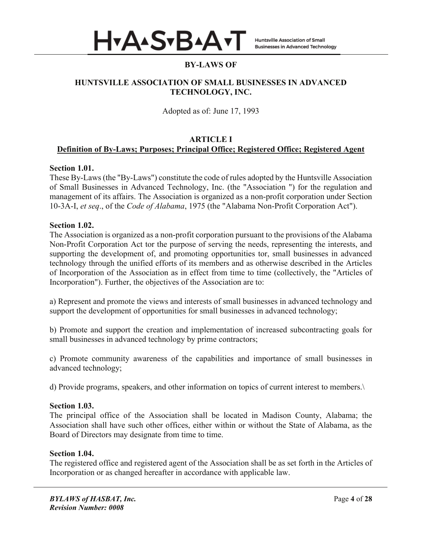## **HUNTSVILLE ASSOCIATION OF SMALL BUSINESSES IN ADVANCED TECHNOLOGY, INC.**

Adopted as of: June 17, 1993

#### **ARTICLE I Definition of By-Laws; Purposes; Principal Office; Registered Office; Registered Agent**

#### **Section 1.01.**

These By-Laws (the "By-Laws") constitute the code of rules adopted by the Huntsville Association of Small Businesses in Advanced Technology, Inc. (the "Association ") for the regulation and management of its affairs. The Association is organized as a non-profit corporation under Section 10-3A-I, *et seq*., of the *Code of Alabama*, 1975 (the "Alabama Non-Profit Corporation Act").

#### **Section 1.02.**

The Association is organized as a non-profit corporation pursuant to the provisions of the Alabama Non-Profit Corporation Act tor the purpose of serving the needs, representing the interests, and supporting the development of, and promoting opportunities tor, small businesses in advanced technology through the unified efforts of its members and as otherwise described in the Articles of Incorporation of the Association as in effect from time to time (collectively, the "Articles of Incorporation"). Further, the objectives of the Association are to:

a) Represent and promote the views and interests of small businesses in advanced technology and support the development of opportunities for small businesses in advanced technology;

b) Promote and support the creation and implementation of increased subcontracting goals for small businesses in advanced technology by prime contractors;

c) Promote community awareness of the capabilities and importance of small businesses in advanced technology;

d) Provide programs, speakers, and other information on topics of current interest to members.\

#### **Section 1.03.**

The principal office of the Association shall be located in Madison County, Alabama; the Association shall have such other offices, either within or without the State of Alabama, as the Board of Directors may designate from time to time.

#### **Section 1.04.**

The registered office and registered agent of the Association shall be as set forth in the Articles of Incorporation or as changed hereafter in accordance with applicable law.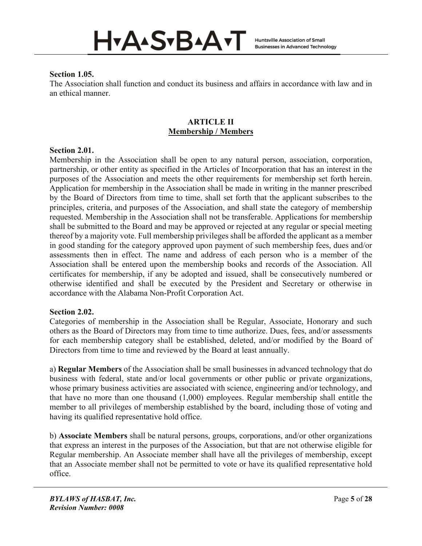### **Section 1.05.**

The Association shall function and conduct its business and affairs in accordance with law and in an ethical manner.

### **ARTICLE II Membership / Members**

#### **Section 2.01.**

Membership in the Association shall be open to any natural person, association, corporation, partnership, or other entity as specified in the Articles of Incorporation that has an interest in the purposes of the Association and meets the other requirements for membership set forth herein. Application for membership in the Association shall be made in writing in the manner prescribed by the Board of Directors from time to time, shall set forth that the applicant subscribes to the principles, criteria, and purposes of the Association, and shall state the category of membership requested. Membership in the Association shall not be transferable. Applications for membership shall be submitted to the Board and may be approved or rejected at any regular or special meeting thereof by a majority vote. Full membership privileges shall be afforded the applicant as a member in good standing for the category approved upon payment of such membership fees, dues and/or assessments then in effect. The name and address of each person who is a member of the Association shall be entered upon the membership books and records of the Association. All certificates for membership, if any be adopted and issued, shall be consecutively numbered or otherwise identified and shall be executed by the President and Secretary or otherwise in accordance with the Alabama Non-Profit Corporation Act.

#### **Section 2.02.**

Categories of membership in the Association shall be Regular, Associate, Honorary and such others as the Board of Directors may from time to time authorize. Dues, fees, and/or assessments for each membership category shall be established, deleted, and/or modified by the Board of Directors from time to time and reviewed by the Board at least annually.

a) **Regular Members** of the Association shall be small businesses in advanced technology that do business with federal, state and/or local governments or other public or private organizations, whose primary business activities are associated with science, engineering and/or technology, and that have no more than one thousand (1,000) employees. Regular membership shall entitle the member to all privileges of membership established by the board, including those of voting and having its qualified representative hold office.

b) **Associate Members** shall be natural persons, groups, corporations, and/or other organizations that express an interest in the purposes of the Association, but that are not otherwise eligible for Regular membership. An Associate member shall have all the privileges of membership, except that an Associate member shall not be permitted to vote or have its qualified representative hold office.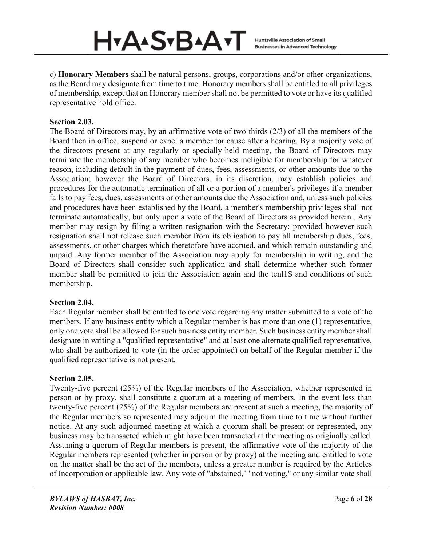c) **Honorary Members** shall be natural persons, groups, corporations and/or other organizations, as the Board may designate from time to time. Honorary members shall be entitled to all privileges of membership, except that an Honorary member shall not be permitted to vote or have its qualified representative hold office.

## **Section 2.03.**

The Board of Directors may, by an affirmative vote of two-thirds (2/3) of all the members of the Board then in office, suspend or expel a member tor cause after a hearing. By a majority vote of the directors present at any regularly or specially-held meeting, the Board of Directors may terminate the membership of any member who becomes ineligible for membership for whatever reason, including default in the payment of dues, fees, assessments, or other amounts due to the Association; however the Board of Directors, in its discretion, may establish policies and procedures for the automatic termination of all or a portion of a member's privileges if a member fails to pay fees, dues, assessments or other amounts due the Association and, unless such policies and procedures have been established by the Board, a member's membership privileges shall not terminate automatically, but only upon a vote of the Board of Directors as provided herein . Any member may resign by filing a written resignation with the Secretary; provided however such resignation shall not release such member from its obligation to pay all membership dues, fees, assessments, or other charges which theretofore have accrued, and which remain outstanding and unpaid. Any former member of the Association may apply for membership in writing, and the Board of Directors shall consider such application and shall determine whether such former member shall be permitted to join the Association again and the tenl1S and conditions of such membership.

## **Section 2.04.**

Each Regular member shall be entitled to one vote regarding any matter submitted to a vote of the members. If any business entity which a Regular member is has more than one (1) representative, only one vote shall be allowed for such business entity member. Such business entity member shall designate in writing a "qualified representative" and at least one alternate qualified representative, who shall be authorized to vote (in the order appointed) on behalf of the Regular member if the qualified representative is not present.

## **Section 2.05.**

Twenty-five percent (25%) of the Regular members of the Association, whether represented in person or by proxy, shall constitute a quorum at a meeting of members. In the event less than twenty-five percent (25%) of the Regular members are present at such a meeting, the majority of the Regular members so represented may adjourn the meeting from time to time without further notice. At any such adjourned meeting at which a quorum shall be present or represented, any business may be transacted which might have been transacted at the meeting as originally called. Assuming a quorum of Regular members is present, the affirmative vote of the majority of the Regular members represented (whether in person or by proxy) at the meeting and entitled to vote on the matter shall be the act of the members, unless a greater number is required by the Articles of Incorporation or applicable law. Any vote of "abstained," "not voting," or any similar vote shall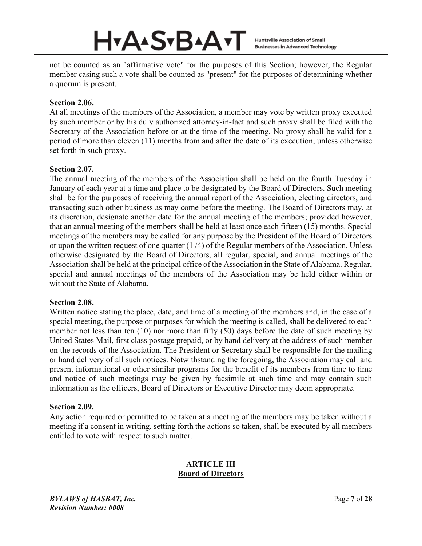not be counted as an "affirmative vote" for the purposes of this Section; however, the Regular member casing such a vote shall be counted as "present" for the purposes of determining whether a quorum is present.

## **Section 2.06.**

At all meetings of the members of the Association, a member may vote by written proxy executed by such member or by his duly authorized attorney-in-fact and such proxy shall be filed with the Secretary of the Association before or at the time of the meeting. No proxy shall be valid for a period of more than eleven (11) months from and after the date of its execution, unless otherwise set forth in such proxy.

## **Section 2.07.**

The annual meeting of the members of the Association shall be held on the fourth Tuesday in January of each year at a time and place to be designated by the Board of Directors. Such meeting shall be for the purposes of receiving the annual report of the Association, electing directors, and transacting such other business as may come before the meeting. The Board of Directors may, at its discretion, designate another date for the annual meeting of the members; provided however, that an annual meeting of the members shall be held at least once each fifteen (15) months. Special meetings of the members may be called for any purpose by the President of the Board of Directors or upon the written request of one quarter  $(1/4)$  of the Regular members of the Association. Unless otherwise designated by the Board of Directors, all regular, special, and annual meetings of the Association shall be held at the principal office of the Association in the State of Alabama. Regular, special and annual meetings of the members of the Association may be held either within or without the State of Alabama.

## **Section 2.08.**

Written notice stating the place, date, and time of a meeting of the members and, in the case of a special meeting, the purpose or purposes for which the meeting is called, shall be delivered to each member not less than ten (10) nor more than fifty (50) days before the date of such meeting by United States Mail, first class postage prepaid, or by hand delivery at the address of such member on the records of the Association. The President or Secretary shall be responsible for the mailing or hand delivery of all such notices. Notwithstanding the foregoing, the Association may call and present informational or other similar programs for the benefit of its members from time to time and notice of such meetings may be given by facsimile at such time and may contain such information as the officers, Board of Directors or Executive Director may deem appropriate.

## **Section 2.09.**

Any action required or permitted to be taken at a meeting of the members may be taken without a meeting if a consent in writing, setting forth the actions so taken, shall be executed by all members entitled to vote with respect to such matter.

## **ARTICLE III Board of Directors**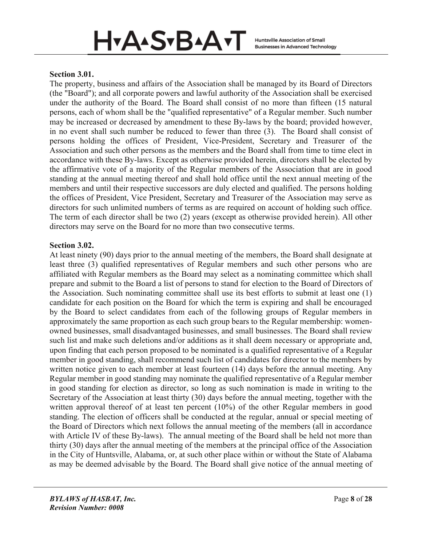# ҤѵѦѧЅѵҎѧѦѵӀ

## **Section 3.01.**

The property, business and affairs of the Association shall be managed by its Board of Directors (the "Board"); and all corporate powers and lawful authority of the Association shall be exercised under the authority of the Board. The Board shall consist of no more than fifteen (15 natural persons, each of whom shall be the "qualified representative" of a Regular member. Such number may be increased or decreased by amendment to these By-laws by the board; provided however, in no event shall such number be reduced to fewer than three (3). The Board shall consist of persons holding the offices of President, Vice-President, Secretary and Treasurer of the Association and such other persons as the members and the Board shall from time to time elect in accordance with these By-laws. Except as otherwise provided herein, directors shall be elected by the affirmative vote of a majority of the Regular members of the Association that are in good standing at the annual meeting thereof and shall hold office until the next annual meeting of the members and until their respective successors are duly elected and qualified. The persons holding the offices of President, Vice President, Secretary and Treasurer of the Association may serve as directors for such unlimited numbers of terms as are required on account of holding such office. The term of each director shall be two (2) years (except as otherwise provided herein). All other directors may serve on the Board for no more than two consecutive terms.

## **Section 3.02.**

At least ninety (90) days prior to the annual meeting of the members, the Board shall designate at least three (3) qualified representatives of Regular members and such other persons who are affiliated with Regular members as the Board may select as a nominating committee which shall prepare and submit to the Board a list of persons to stand for election to the Board of Directors of the Association. Such nominating committee shall use its best efforts to submit at least one (1) candidate for each position on the Board for which the term is expiring and shall be encouraged by the Board to select candidates from each of the following groups of Regular members in approximately the same proportion as each such group bears to the Regular membership: womenowned businesses, small disadvantaged businesses, and small businesses. The Board shall review such list and make such deletions and/or additions as it shall deem necessary or appropriate and, upon finding that each person proposed to be nominated is a qualified representative of a Regular member in good standing, shall recommend such list of candidates for director to the members by written notice given to each member at least fourteen (14) days before the annual meeting. Any Regular member in good standing may nominate the qualified representative of a Regular member in good standing for election as director, so long as such nomination is made in writing to the Secretary of the Association at least thirty (30) days before the annual meeting, together with the written approval thereof of at least ten percent (10%) of the other Regular members in good standing. The election of officers shall be conducted at the regular, annual or special meeting of the Board of Directors which next follows the annual meeting of the members (all in accordance with Article IV of these By-laws). The annual meeting of the Board shall be held not more than thirty (30) days after the annual meeting of the members at the principal office of the Association in the City of Huntsville, Alabama, or, at such other place within or without the State of Alabama as may be deemed advisable by the Board. The Board shall give notice of the annual meeting of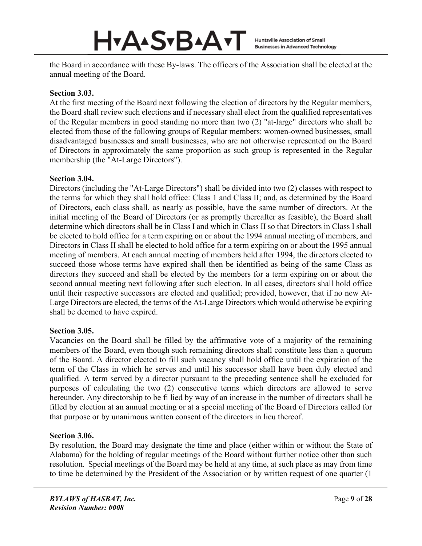the Board in accordance with these By-laws. The officers of the Association shall be elected at the annual meeting of the Board.

## **Section 3.03.**

At the first meeting of the Board next following the election of directors by the Regular members, the Board shall review such elections and if necessary shall elect from the qualified representatives of the Regular members in good standing no more than two (2) "at-large" directors who shall be elected from those of the following groups of Regular members: women-owned businesses, small disadvantaged businesses and small businesses, who are not otherwise represented on the Board of Directors in approximately the same proportion as such group is represented in the Regular membership (the "At-Large Directors").

## **Section 3.04.**

Directors (including the "At-Large Directors") shall be divided into two (2) classes with respect to the terms for which they shall hold office: Class 1 and Class II; and, as determined by the Board of Directors, each class shall, as nearly as possible, have the same number of directors. At the initial meeting of the Board of Directors (or as promptly thereafter as feasible), the Board shall determine which directors shall be in Class I and which in Class II so that Directors in Class I shall be elected to hold office for a term expiring on or about the 1994 annual meeting of members, and Directors in Class II shall be elected to hold office for a term expiring on or about the 1995 annual meeting of members. At each annual meeting of members held after 1994, the directors elected to succeed those whose terms have expired shall then be identified as being of the same Class as directors they succeed and shall be elected by the members for a term expiring on or about the second annual meeting next following after such election. In all cases, directors shall hold office until their respective successors are elected and qualified; provided, however, that if no new At-Large Directors are elected, the terms of the At-Large Directors which would otherwise be expiring shall be deemed to have expired.

## **Section 3.05.**

Vacancies on the Board shall be filled by the affirmative vote of a majority of the remaining members of the Board, even though such remaining directors shall constitute less than a quorum of the Board. A director elected to fill such vacancy shall hold office until the expiration of the term of the Class in which he serves and until his successor shall have been duly elected and qualified. A term served by a director pursuant to the preceding sentence shall be excluded for purposes of calculating the two (2) consecutive terms which directors are allowed to serve hereunder. Any directorship to be fi lied by way of an increase in the number of directors shall be filled by election at an annual meeting or at a special meeting of the Board of Directors called for that purpose or by unanimous written consent of the directors in lieu thereof.

## **Section 3.06.**

By resolution, the Board may designate the time and place (either within or without the State of Alabama) for the holding of regular meetings of the Board without further notice other than such resolution. Special meetings of the Board may be held at any time, at such place as may from time to time be determined by the President of the Association or by written request of one quarter (1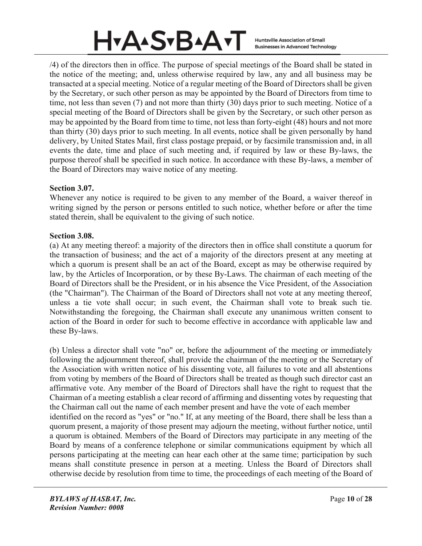/4) of the directors then in office. The purpose of special meetings of the Board shall be stated in the notice of the meeting; and, unless otherwise required by law, any and all business may be transacted at a special meeting. Notice of a regular meeting of the Board of Directors shall be given by the Secretary, or such other person as may be appointed by the Board of Directors from time to time, not less than seven (7) and not more than thirty (30) days prior to such meeting. Notice of a special meeting of the Board of Directors shall be given by the Secretary, or such other person as may be appointed by the Board from time to time, not less than forty-eight (48) hours and not more than thirty (30) days prior to such meeting. In all events, notice shall be given personally by hand delivery, by United States Mail, first class postage prepaid, or by facsimile transmission and, in all events the date, time and place of such meeting and, if required by law or these By-laws, the purpose thereof shall be specified in such notice. In accordance with these By-laws, a member of the Board of Directors may waive notice of any meeting.

## **Section 3.07.**

Whenever any notice is required to be given to any member of the Board, a waiver thereof in writing signed by the person or persons entitled to such notice, whether before or after the time stated therein, shall be equivalent to the giving of such notice.

## **Section 3.08.**

(a) At any meeting thereof: a majority of the directors then in office shall constitute a quorum for the transaction of business; and the act of a majority of the directors present at any meeting at which a quorum is present shall be an act of the Board, except as may be otherwise required by law, by the Articles of Incorporation, or by these By-Laws. The chairman of each meeting of the Board of Directors shall be the President, or in his absence the Vice President, of the Association (the "Chairman"). The Chairman of the Board of Directors shall not vote at any meeting thereof, unless a tie vote shall occur; in such event, the Chairman shall vote to break such tie. Notwithstanding the foregoing, the Chairman shall execute any unanimous written consent to action of the Board in order for such to become effective in accordance with applicable law and these By-laws.

(b) Unless a director shall vote "no" or, before the adjournment of the meeting or immediately following the adjournment thereof, shall provide the chairman of the meeting or the Secretary of the Association with written notice of his dissenting vote, all failures to vote and all abstentions from voting by members of the Board of Directors shall be treated as though such director cast an affirmative vote. Any member of the Board of Directors shall have the right to request that the Chairman of a meeting establish a clear record of affirming and dissenting votes by requesting that the Chairman call out the name of each member present and have the vote of each member identified on the record as "yes" or "no." If, at any meeting of the Board, there shall be less than a quorum present, a majority of those present may adjourn the meeting, without further notice, until a quorum is obtained. Members of the Board of Directors may participate in any meeting of the Board by means of a conference telephone or similar communications equipment by which all persons participating at the meeting can hear each other at the same time; participation by such means shall constitute presence in person at a meeting. Unless the Board of Directors shall otherwise decide by resolution from time to time, the proceedings of each meeting of the Board of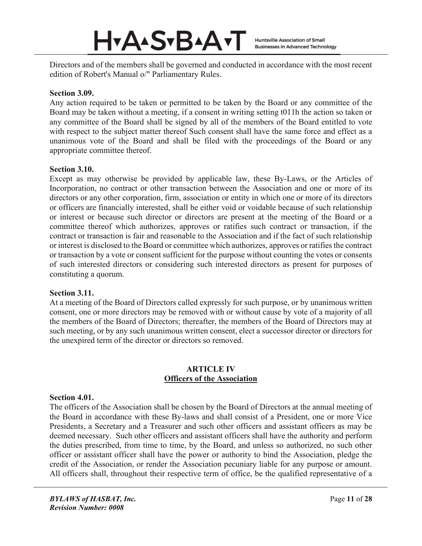# **H**YAASYBAAYT

Directors and of the members shall be governed and conducted in accordance with the most recent edition of Robert's Manual o/" Parliamentary Rules.

### **Section 3.09.**

Any action required to be taken or permitted to be taken by the Board or any committee of the Board may be taken without a meeting, if a consent in writing setting t011h the action so taken or any committee of the Board shall be signed by all of the members of the Board entitled to vote with respect to the subject matter thereof Such consent shall have the same force and effect as a unanimous vote of the Board and shall be filed with the proceedings of the Board or any appropriate committee thereof.

#### **Section 3.10.**

Except as may otherwise be provided by applicable law, these By-Laws, or the Articles of Incorporation, no contract or other transaction between the Association and one or more of its directors or any other corporation, firm, association or entity in which one or more of its directors or officers are financially interested, shall be either void or voidable because of such relationship or interest or because such director or directors are present at the meeting of the Board or a committee thereof which authorizes, approves or ratifies such contract or transaction, if the contract or transaction is fair and reasonable to the Association and if the fact of such relationship or interest is disclosed to the Board or committee which authorizes, approves or ratifies the contract or transaction by a vote or consent sufficient for the purpose without counting the votes or consents of such interested directors or considering such interested directors as present for purposes of constituting a quorum.

#### **Section 3.11.**

At a meeting of the Board of Directors called expressly for such purpose, or by unanimous written consent, one or more directors may be removed with or without cause by vote of a majority of all the members of the Board of Directors; thereafter, the members of the Board of Directors may at such meeting, or by any such unanimous written consent, elect a successor director or directors for the unexpired term of the director or directors so removed.

#### **ARTICLE IV Officers of the Association**

#### **Section 4.01.**

The officers of the Association shall be chosen by the Board of Directors at the annual meeting of the Board in accordance with these By-laws and shall consist of a President, one or more Vice Presidents, a Secretary and a Treasurer and such other officers and assistant officers as may be deemed necessary. Such other officers and assistant officers shall have the authority and perform the duties prescribed, from time to time, by the Board, and unless so authorized, no such other officer or assistant officer shall have the power or authority to bind the Association, pledge the credit of the Association, or render the Association pecuniary liable for any purpose or amount. All officers shall, throughout their respective term of office, be the qualified representative of a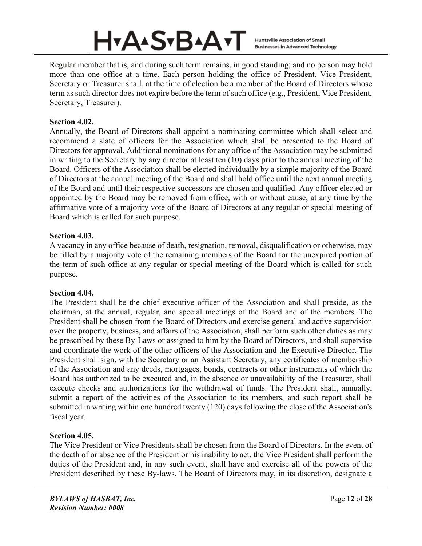Regular member that is, and during such term remains, in good standing; and no person may hold more than one office at a time. Each person holding the office of President, Vice President, Secretary or Treasurer shall, at the time of election be a member of the Board of Directors whose term as such director does not expire before the term of such office (e.g., President, Vice President, Secretary, Treasurer).

## **Section 4.02.**

Annually, the Board of Directors shall appoint a nominating committee which shall select and recommend a slate of officers for the Association which shall be presented to the Board of Directors for approval. Additional nominations for any office of the Association may be submitted in writing to the Secretary by any director at least ten (10) days prior to the annual meeting of the Board. Officers of the Association shall be elected individually by a simple majority of the Board of Directors at the annual meeting of the Board and shall hold office until the next annual meeting of the Board and until their respective successors are chosen and qualified. Any officer elected or appointed by the Board may be removed from office, with or without cause, at any time by the affirmative vote of a majority vote of the Board of Directors at any regular or special meeting of Board which is called for such purpose.

## **Section 4.03.**

A vacancy in any office because of death, resignation, removal, disqualification or otherwise, may be filled by a majority vote of the remaining members of the Board for the unexpired portion of the term of such office at any regular or special meeting of the Board which is called for such purpose.

## **Section 4.04.**

The President shall be the chief executive officer of the Association and shall preside, as the chairman, at the annual, regular, and special meetings of the Board and of the members. The President shall be chosen from the Board of Directors and exercise general and active supervision over the property, business, and affairs of the Association, shall perform such other duties as may be prescribed by these By-Laws or assigned to him by the Board of Directors, and shall supervise and coordinate the work of the other officers of the Association and the Executive Director. The President shall sign, with the Secretary or an Assistant Secretary, any certificates of membership of the Association and any deeds, mortgages, bonds, contracts or other instruments of which the Board has authorized to be executed and, in the absence or unavailability of the Treasurer, shall execute checks and authorizations for the withdrawal of funds. The President shall, annually, submit a report of the activities of the Association to its members, and such report shall be submitted in writing within one hundred twenty (120) days following the close of the Association's fiscal year.

## **Section 4.05.**

The Vice President or Vice Presidents shall be chosen from the Board of Directors. In the event of the death of or absence of the President or his inability to act, the Vice President shall perform the duties of the President and, in any such event, shall have and exercise all of the powers of the President described by these By-laws. The Board of Directors may, in its discretion, designate a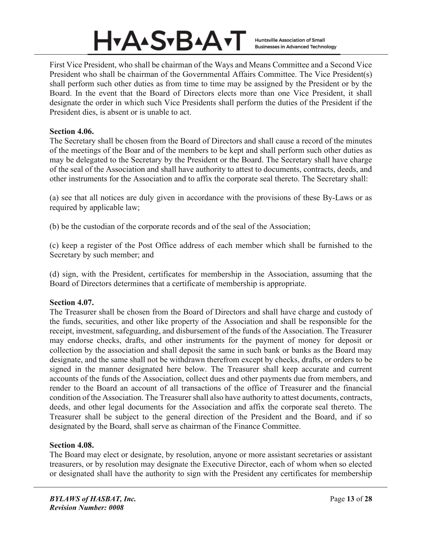# H<sub>\*</sub>A^S\*B^A\*T

First Vice President, who shall be chairman of the Ways and Means Committee and a Second Vice President who shall be chairman of the Governmental Affairs Committee. The Vice President(s) shall perform such other duties as from time to time may be assigned by the President or by the Board. In the event that the Board of Directors elects more than one Vice President, it shall designate the order in which such Vice Presidents shall perform the duties of the President if the President dies, is absent or is unable to act.

### **Section 4.06.**

The Secretary shall be chosen from the Board of Directors and shall cause a record of the minutes of the meetings of the Boar and of the members to be kept and shall perform such other duties as may be delegated to the Secretary by the President or the Board. The Secretary shall have charge of the seal of the Association and shall have authority to attest to documents, contracts, deeds, and other instruments for the Association and to affix the corporate seal thereto. The Secretary shall:

(a) see that all notices are duly given in accordance with the provisions of these By-Laws or as required by applicable law;

(b) be the custodian of the corporate records and of the seal of the Association;

(c) keep a register of the Post Office address of each member which shall be furnished to the Secretary by such member; and

(d) sign, with the President, certificates for membership in the Association, assuming that the Board of Directors determines that a certificate of membership is appropriate.

#### **Section 4.07.**

The Treasurer shall be chosen from the Board of Directors and shall have charge and custody of the funds, securities, and other like property of the Association and shall be responsible for the receipt, investment, safeguarding, and disbursement of the funds of the Association. The Treasurer may endorse checks, drafts, and other instruments for the payment of money for deposit or collection by the association and shall deposit the same in such bank or banks as the Board may designate, and the same shall not be withdrawn therefrom except by checks, drafts, or orders to be signed in the manner designated here below. The Treasurer shall keep accurate and current accounts of the funds of the Association, collect dues and other payments due from members, and render to the Board an account of all transactions of the office of Treasurer and the financial condition of the Association. The Treasurer shall also have authority to attest documents, contracts, deeds, and other legal documents for the Association and affix the corporate seal thereto. The Treasurer shall be subject to the general direction of the President and the Board, and if so designated by the Board, shall serve as chairman of the Finance Committee.

#### **Section 4.08.**

The Board may elect or designate, by resolution, anyone or more assistant secretaries or assistant treasurers, or by resolution may designate the Executive Director, each of whom when so elected or designated shall have the authority to sign with the President any certificates for membership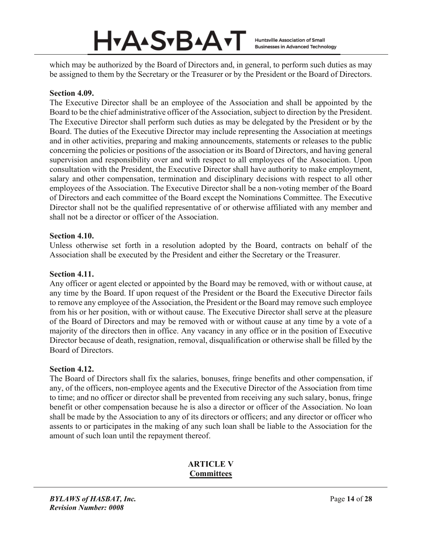which may be authorized by the Board of Directors and, in general, to perform such duties as may be assigned to them by the Secretary or the Treasurer or by the President or the Board of Directors.

## **Section 4.09.**

The Executive Director shall be an employee of the Association and shall be appointed by the Board to be the chief administrative officer of the Association, subject to direction by the President. The Executive Director shall perform such duties as may be delegated by the President or by the Board. The duties of the Executive Director may include representing the Association at meetings and in other activities, preparing and making announcements, statements or releases to the public concerning the policies or positions of the association or its Board of Directors, and having general supervision and responsibility over and with respect to all employees of the Association. Upon consultation with the President, the Executive Director shall have authority to make employment, salary and other compensation, termination and disciplinary decisions with respect to all other employees of the Association. The Executive Director shall be a non-voting member of the Board of Directors and each committee of the Board except the Nominations Committee. The Executive Director shall not be the qualified representative of or otherwise affiliated with any member and shall not be a director or officer of the Association.

#### **Section 4.10.**

Unless otherwise set forth in a resolution adopted by the Board, contracts on behalf of the Association shall be executed by the President and either the Secretary or the Treasurer.

#### **Section 4.11.**

Any officer or agent elected or appointed by the Board may be removed, with or without cause, at any time by the Board. If upon request of the President or the Board the Executive Director fails to remove any employee of the Association, the President or the Board may remove such employee from his or her position, with or without cause. The Executive Director shall serve at the pleasure of the Board of Directors and may be removed with or without cause at any time by a vote of a majority of the directors then in office. Any vacancy in any office or in the position of Executive Director because of death, resignation, removal, disqualification or otherwise shall be filled by the Board of Directors.

#### **Section 4.12.**

The Board of Directors shall fix the salaries, bonuses, fringe benefits and other compensation, if any, of the officers, non-employee agents and the Executive Director of the Association from time to time; and no officer or director shall be prevented from receiving any such salary, bonus, fringe benefit or other compensation because he is also a director or officer of the Association. No loan shall be made by the Association to any of its directors or officers; and any director or officer who assents to or participates in the making of any such loan shall be liable to the Association for the amount of such loan until the repayment thereof.

## **ARTICLE V Committees**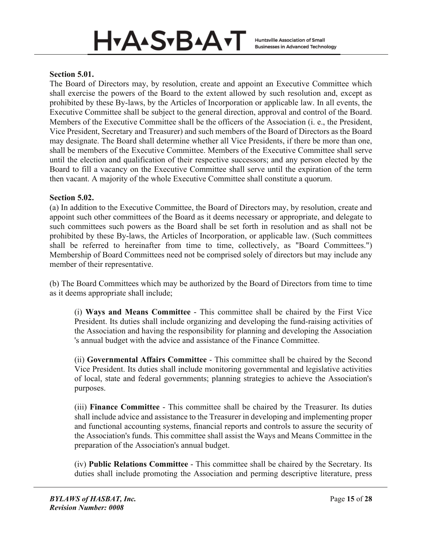# ҤѵѦѧЅѵҎѧѦѵӀ

## **Section 5.01.**

The Board of Directors may, by resolution, create and appoint an Executive Committee which shall exercise the powers of the Board to the extent allowed by such resolution and, except as prohibited by these By-laws, by the Articles of Incorporation or applicable law. In all events, the Executive Committee shall be subject to the general direction, approval and control of the Board. Members of the Executive Committee shall be the officers of the Association (i. e., the President, Vice President, Secretary and Treasurer) and such members of the Board of Directors as the Board may designate. The Board shall determine whether all Vice Presidents, if there be more than one, shall be members of the Executive Committee. Members of the Executive Committee shall serve until the election and qualification of their respective successors; and any person elected by the Board to fill a vacancy on the Executive Committee shall serve until the expiration of the term then vacant. A majority of the whole Executive Committee shall constitute a quorum.

#### **Section 5.02.**

(a) In addition to the Executive Committee, the Board of Directors may, by resolution, create and appoint such other committees of the Board as it deems necessary or appropriate, and delegate to such committees such powers as the Board shall be set forth in resolution and as shall not be prohibited by these By-laws, the Articles of Incorporation, or applicable law. (Such committees shall be referred to hereinafter from time to time, collectively, as "Board Committees.") Membership of Board Committees need not be comprised solely of directors but may include any member of their representative.

(b) The Board Committees which may be authorized by the Board of Directors from time to time as it deems appropriate shall include;

(i) **Ways and Means Committee** - This committee shall be chaired by the First Vice President. Its duties shall include organizing and developing the fund-raising activities of the Association and having the responsibility for planning and developing the Association 's annual budget with the advice and assistance of the Finance Committee.

(ii) **Governmental Affairs Committee** - This committee shall be chaired by the Second Vice President. Its duties shall include monitoring governmental and legislative activities of local, state and federal governments; planning strategies to achieve the Association's purposes.

(iii) **Finance Committee** - This committee shall be chaired by the Treasurer. Its duties shall include advice and assistance to the Treasurer in developing and implementing proper and functional accounting systems, financial reports and controls to assure the security of the Association's funds. This committee shall assist the Ways and Means Committee in the preparation of the Association's annual budget.

(iv) **Public Relations Committee** - This committee shall be chaired by the Secretary. Its duties shall include promoting the Association and perming descriptive literature, press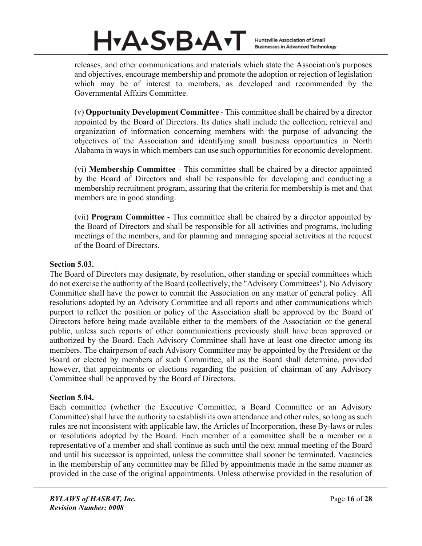# **HTA-STBAAT**

releases, and other communications and materials which state the Association's purposes and objectives, encourage membership and promote the adoption or rejection of legislation which may be of interest to members, as developed and recommended by the Governmental Affairs Committee.

(v) **Opportunity Development Committee** - This committee shall be chaired by a director appointed by the Board of Directors. Its duties shall include the collection, retrieval and organization of information concerning members with the purpose of advancing the objectives of the Association and identifying small business opportunities in North Alabama in ways in which members can use such opportunities for economic development.

(vi) **Membership Committee** - This committee shall be chaired by a director appointed by the Board of Directors and shall be responsible for developing and conducting a membership recruitment program, assuring that the criteria for membership is met and that members are in good standing.

(vii) **Program Committee** - This committee shall be chaired by a director appointed by the Board of Directors and shall be responsible for all activities and programs, including meetings of the members, and for planning and managing special activities at the request of the Board of Directors.

#### **Section 5.03.**

The Board of Directors may designate, by resolution, other standing or special committees which do not exercise the authority of the Board (collectively, the "Advisory Committees"). No Advisory Committee shall have the power to commit the Association on any matter of general policy. All resolutions adopted by an Advisory Committee and all reports and other communications which purport to reflect the position or policy of the Association shall be approved by the Board of Directors before being made available either to the members of the Association or the general public, unless such reports of other communications previously shall have been approved or authorized by the Board. Each Advisory Committee shall have at least one director among its members. The chairperson of each Advisory Committee may be appointed by the President or the Board or elected by members of such Committee, all as the Board shall determine, provided however, that appointments or elections regarding the position of chairman of any Advisory Committee shall be approved by the Board of Directors.

#### **Section 5.04.**

Each committee (whether the Executive Committee, a Board Committee or an Advisory Committee) shall have the authority to establish its own attendance and other rules, so long as such rules are not inconsistent with applicable law, the Articles of Incorporation, these By-laws or rules or resolutions adopted by the Board. Each member of a committee shall be a member or a representative of a member and shall continue as such until the next annual meeting of the Board and until his successor is appointed, unless the committee shall sooner be terminated. Vacancies in the membership of any committee may be filled by appointments made in the same manner as provided in the case of the original appointments. Unless otherwise provided in the resolution of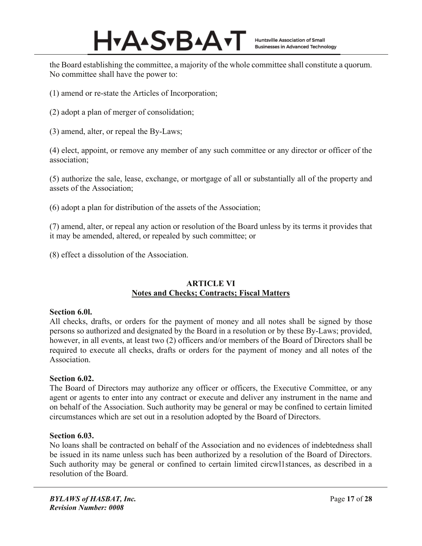# H<sub>Y</sub>AAS<sub>Y</sub>BAAT

the Board establishing the committee, a majority of the whole committee shall constitute a quorum. No committee shall have the power to:

(1) amend or re-state the Articles of Incorporation;

(2) adopt a plan of merger of consolidation;

(3) amend, alter, or repeal the By-Laws;

(4) elect, appoint, or remove any member of any such committee or any director or officer of the association;

(5) authorize the sale, lease, exchange, or mortgage of all or substantially all of the property and assets of the Association;

(6) adopt a plan for distribution of the assets of the Association;

(7) amend, alter, or repeal any action or resolution of the Board unless by its terms it provides that it may be amended, altered, or repealed by such committee; or

(8) effect a dissolution of the Association.

## **ARTICLE VI Notes and Checks; Contracts; Fiscal Matters**

## **Section 6.0l.**

All checks, drafts, or orders for the payment of money and all notes shall be signed by those persons so authorized and designated by the Board in a resolution or by these By-Laws; provided, however, in all events, at least two (2) officers and/or members of the Board of Directors shall be required to execute all checks, drafts or orders for the payment of money and all notes of the Association.

## **Section 6.02.**

The Board of Directors may authorize any officer or officers, the Executive Committee, or any agent or agents to enter into any contract or execute and deliver any instrument in the name and on behalf of the Association. Such authority may be general or may be confined to certain limited circumstances which are set out in a resolution adopted by the Board of Directors.

## **Section 6.03.**

No loans shall be contracted on behalf of the Association and no evidences of indebtedness shall be issued in its name unless such has been authorized by a resolution of the Board of Directors. Such authority may be general or confined to certain limited circwl1stances, as described in a resolution of the Board.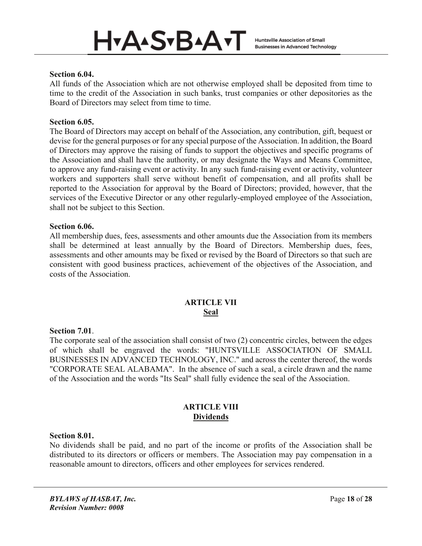# ҤѵѦѧЅѵҎѧѦѵӀ

### **Section 6.04.**

All funds of the Association which are not otherwise employed shall be deposited from time to time to the credit of the Association in such banks, trust companies or other depositories as the Board of Directors may select from time to time.

#### **Section 6.05.**

The Board of Directors may accept on behalf of the Association, any contribution, gift, bequest or devise for the general purposes or for any special purpose of the Association. In addition, the Board of Directors may approve the raising of funds to support the objectives and specific programs of the Association and shall have the authority, or may designate the Ways and Means Committee, to approve any fund-raising event or activity. In any such fund-raising event or activity, volunteer workers and supporters shall serve without benefit of compensation, and all profits shall be reported to the Association for approval by the Board of Directors; provided, however, that the services of the Executive Director or any other regularly-employed employee of the Association, shall not be subject to this Section.

#### **Section 6.06.**

All membership dues, fees, assessments and other amounts due the Association from its members shall be determined at least annually by the Board of Directors. Membership dues, fees, assessments and other amounts may be fixed or revised by the Board of Directors so that such are consistent with good business practices, achievement of the objectives of the Association, and costs of the Association.

## **ARTICLE VII Seal**

#### **Section 7.01**.

The corporate seal of the association shall consist of two (2) concentric circles, between the edges of which shall be engraved the words: "HUNTSVILLE ASSOCIATION OF SMALL BUSINESSES IN ADVANCED TECHNOLOGY, INC." and across the center thereof, the words "CORPORATE SEAL ALABAMA". In the absence of such a seal, a circle drawn and the name of the Association and the words "Its Seal" shall fully evidence the seal of the Association.

#### **ARTICLE VIII Dividends**

#### **Section 8.01.**

No dividends shall be paid, and no part of the income or profits of the Association shall be distributed to its directors or officers or members. The Association may pay compensation in a reasonable amount to directors, officers and other employees for services rendered.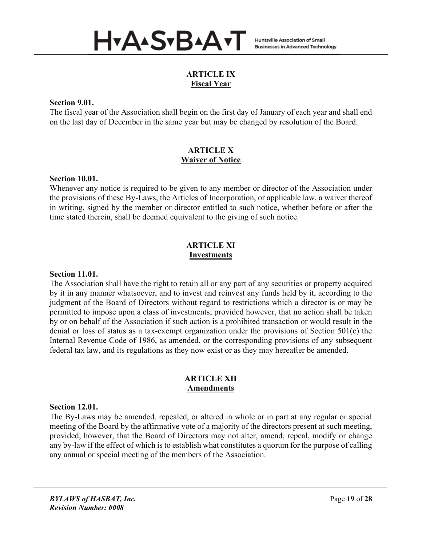## **ARTICLE IX Fiscal Year**

#### **Section 9.01.**

The fiscal year of the Association shall begin on the first day of January of each year and shall end on the last day of December in the same year but may be changed by resolution of the Board.

## **ARTICLE X Waiver of Notice**

#### **Section 10.01.**

Whenever any notice is required to be given to any member or director of the Association under the provisions of these By-Laws, the Articles of Incorporation, or applicable law, a waiver thereof in writing, signed by the member or director entitled to such notice, whether before or after the time stated therein, shall be deemed equivalent to the giving of such notice.

### **ARTICLE XI Investments**

#### **Section 11.01.**

The Association shall have the right to retain all or any part of any securities or property acquired by it in any manner whatsoever, and to invest and reinvest any funds held by it, according to the judgment of the Board of Directors without regard to restrictions which a director is or may be permitted to impose upon a class of investments; provided however, that no action shall be taken by or on behalf of the Association if such action is a prohibited transaction or would result in the denial or loss of status as a tax-exempt organization under the provisions of Section 501(c) the Internal Revenue Code of 1986, as amended, or the corresponding provisions of any subsequent federal tax law, and its regulations as they now exist or as they may hereafter be amended.

## **ARTICLE XII Amendments**

#### **Section 12.01.**

The By-Laws may be amended, repealed, or altered in whole or in part at any regular or special meeting of the Board by the affirmative vote of a majority of the directors present at such meeting, provided, however, that the Board of Directors may not alter, amend, repeal, modify or change any by-law if the effect of which is to establish what constitutes a quorum for the purpose of calling any annual or special meeting of the members of the Association.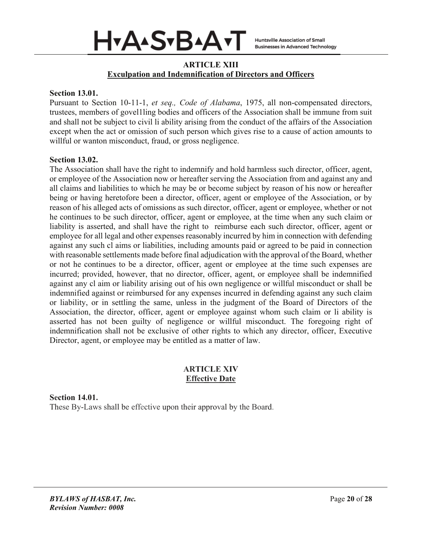## **ARTICLE XIII Exculpation and Indemnification of Directors and Officers**

HTAASTBAAT

### **Section 13.01.**

Pursuant to Section 10-11-1, *et seq., Code of Alabama*, 1975, all non-compensated directors, trustees, members of govel1ling bodies and officers of the Association shall be immune from suit and shall not be subject to civil li ability arising from the conduct of the affairs of the Association except when the act or omission of such person which gives rise to a cause of action amounts to willful or wanton misconduct, fraud, or gross negligence.

#### **Section 13.02.**

The Association shall have the right to indemnify and hold harmless such director, officer, agent, or employee of the Association now or hereafter serving the Association from and against any and all claims and liabilities to which he may be or become subject by reason of his now or hereafter being or having heretofore been a director, officer, agent or employee of the Association, or by reason of his alleged acts of omissions as such director, officer, agent or employee, whether or not he continues to be such director, officer, agent or employee, at the time when any such claim or liability is asserted, and shall have the right to reimburse each such director, officer, agent or employee for all legal and other expenses reasonably incurred by him in connection with defending against any such cl aims or liabilities, including amounts paid or agreed to be paid in connection with reasonable settlements made before final adjudication with the approval of the Board, whether or not he continues to be a director, officer, agent or employee at the time such expenses are incurred; provided, however, that no director, officer, agent, or employee shall be indemnified against any cl aim or liability arising out of his own negligence or willful misconduct or shall be indemnified against or reimbursed for any expenses incurred in defending against any such claim or liability, or in settling the same, unless in the judgment of the Board of Directors of the Association, the director, officer, agent or employee against whom such claim or li ability is asserted has not been guilty of negligence or willful misconduct. The foregoing right of indemnification shall not be exclusive of other rights to which any director, officer, Executive Director, agent, or employee may be entitled as a matter of law.

#### **ARTICLE XIV Effective Date**

**Section 14.01.** These By-Laws shall be effective upon their approval by the Board.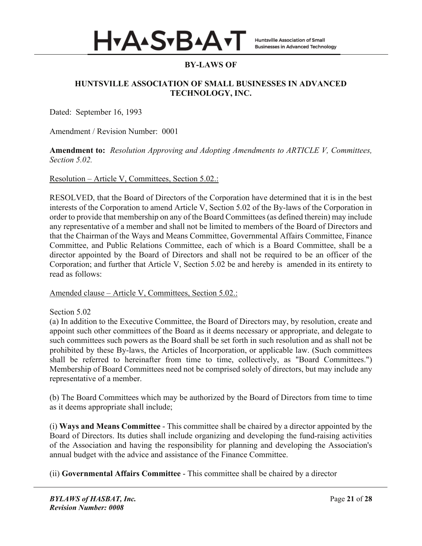

## **HUNTSVILLE ASSOCIATION OF SMALL BUSINESSES IN ADVANCED TECHNOLOGY, INC.**

Dated: September 16, 1993

Amendment / Revision Number: 0001

**Amendment to:** *Resolution Approving and Adopting Amendments to ARTICLE V, Committees, Section 5.02.*

Resolution – Article V, Committees, Section 5.02.:

RESOLVED, that the Board of Directors of the Corporation have determined that it is in the best interests of the Corporation to amend Article V, Section 5.02 of the By-laws of the Corporation in order to provide that membership on any of the Board Committees (as defined therein) may include any representative of a member and shall not be limited to members of the Board of Directors and that the Chairman of the Ways and Means Committee, Governmental Affairs Committee, Finance Committee, and Public Relations Committee, each of which is a Board Committee, shall be a director appointed by the Board of Directors and shall not be required to be an officer of the Corporation; and further that Article V, Section 5.02 be and hereby is amended in its entirety to read as follows:

Amended clause – Article V, Committees, Section 5.02.:

Section 5.02

(a) In addition to the Executive Committee, the Board of Directors may, by resolution, create and appoint such other committees of the Board as it deems necessary or appropriate, and delegate to such committees such powers as the Board shall be set forth in such resolution and as shall not be prohibited by these By-laws, the Articles of Incorporation, or applicable law. (Such committees shall be referred to hereinafter from time to time, collectively, as "Board Committees.") Membership of Board Committees need not be comprised solely of directors, but may include any representative of a member.

(b) The Board Committees which may be authorized by the Board of Directors from time to time as it deems appropriate shall include;

(i) **Ways and Means Committee** - This committee shall be chaired by a director appointed by the Board of Directors. Its duties shall include organizing and developing the fund-raising activities of the Association and having the responsibility for planning and developing the Association's annual budget with the advice and assistance of the Finance Committee.

(ii) **Governmental Affairs Committee** - This committee shall be chaired by a director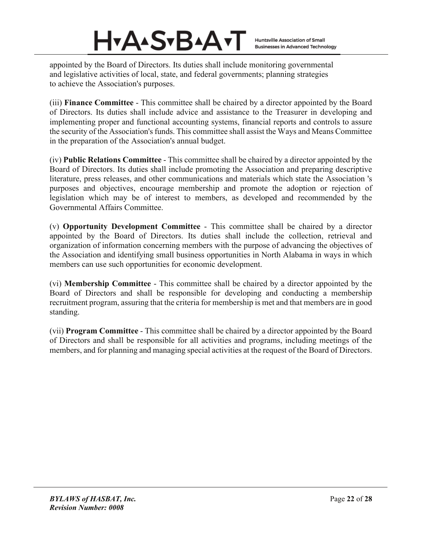# ҤѵѦѧЅѵҎѧѦѵӀ

appointed by the Board of Directors. Its duties shall include monitoring governmental and legislative activities of local, state, and federal governments; planning strategies to achieve the Association's purposes.

(iii) **Finance Committee** - This committee shall be chaired by a director appointed by the Board of Directors. Its duties shall include advice and assistance to the Treasurer in developing and implementing proper and functional accounting systems, financial reports and controls to assure the security of the Association's funds. This committee shall assist the Ways and Means Committee in the preparation of the Association's annual budget.

(iv) **Public Relations Committee** - This committee shall be chaired by a director appointed by the Board of Directors. Its duties shall include promoting the Association and preparing descriptive literature, press releases, and other communications and materials which state the Association 's purposes and objectives, encourage membership and promote the adoption or rejection of legislation which may be of interest to members, as developed and recommended by the Governmental Affairs Committee.

(v) **Opportunity Development Committee** - This committee shall be chaired by a director appointed by the Board of Directors. Its duties shall include the collection, retrieval and organization of information concerning members with the purpose of advancing the objectives of the Association and identifying small business opportunities in North Alabama in ways in which members can use such opportunities for economic development.

(vi) **Membership Committee** - This committee shall be chaired by a director appointed by the Board of Directors and shall be responsible for developing and conducting a membership recruitment program, assuring that the criteria for membership is met and that members are in good standing.

(vii) **Program Committee** - This committee shall be chaired by a director appointed by the Board of Directors and shall be responsible for all activities and programs, including meetings of the members, and for planning and managing special activities at the request of the Board of Directors.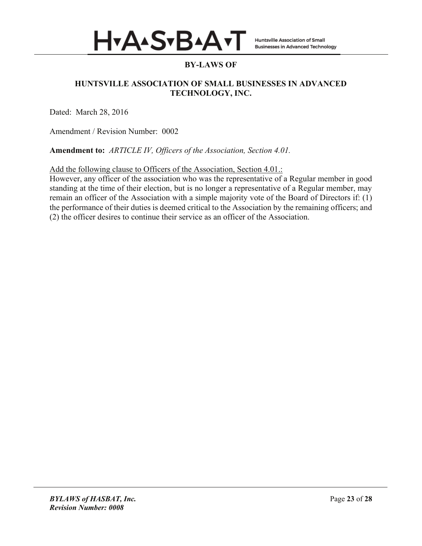

## **HUNTSVILLE ASSOCIATION OF SMALL BUSINESSES IN ADVANCED TECHNOLOGY, INC.**

Dated: March 28, 2016

Amendment / Revision Number: 0002

**Amendment to:** *ARTICLE IV, Officers of the Association, Section 4.01.*

Add the following clause to Officers of the Association, Section 4.01.:

However, any officer of the association who was the representative of a Regular member in good standing at the time of their election, but is no longer a representative of a Regular member, may remain an officer of the Association with a simple majority vote of the Board of Directors if: (1) the performance of their duties is deemed critical to the Association by the remaining officers; and (2) the officer desires to continue their service as an officer of the Association.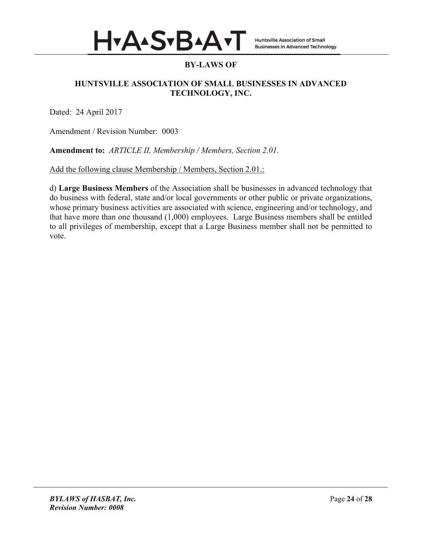

## **HUNTSVILLE ASSOCIATION OF SMALL BUSINESSES IN ADVANCED TECHNOLOGY, INC.**

Dated: 24 April 2017

Amendment / Revision Number: 0003

**Amendment to:** *ARTICLE II, Membership / Members, Section 2.01.*

Add the following clause Membership / Members, Section 2.01.:

d) **Large Business Members** of the Association shall be businesses in advanced technology that do business with federal, state and/or local governments or other public or private organizations, whose primary business activities are associated with science, engineering and/or technology, and that have more than one thousand (1,000) employees. Large Business members shall be entitled to all privileges of membership, except that a Large Business member shall not be permitted to vote.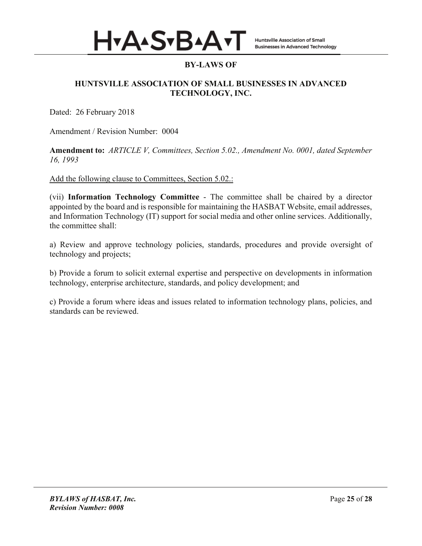

## **HUNTSVILLE ASSOCIATION OF SMALL BUSINESSES IN ADVANCED TECHNOLOGY, INC.**

Dated: 26 February 2018

Amendment / Revision Number: 0004

**Amendment to:** *ARTICLE V, Committees, Section 5.02., Amendment No. 0001, dated September 16, 1993*

Add the following clause to Committees, Section 5.02.:

(vii) **Information Technology Committee** - The committee shall be chaired by a director appointed by the board and is responsible for maintaining the HASBAT Website, email addresses, and Information Technology (IT) support for social media and other online services. Additionally, the committee shall:

a) Review and approve technology policies, standards, procedures and provide oversight of technology and projects;

b) Provide a forum to solicit external expertise and perspective on developments in information technology, enterprise architecture, standards, and policy development; and

c) Provide a forum where ideas and issues related to information technology plans, policies, and standards can be reviewed.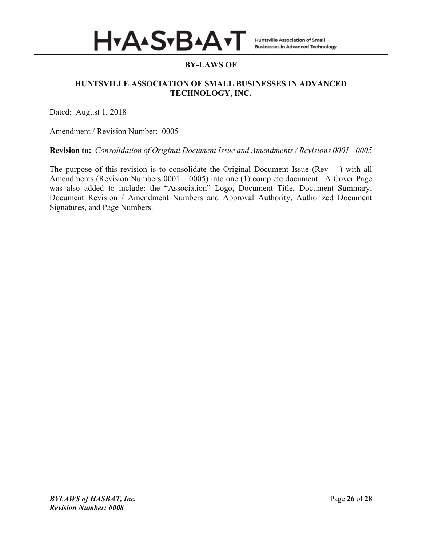

## **HUNTSVILLE ASSOCIATION OF SMALL BUSINESSES IN ADVANCED TECHNOLOGY, INC.**

Dated: August 1, 2018

Amendment / Revision Number: 0005

**Revision to:** *Consolidation of Original Document Issue and Amendments / Revisions 0001 - 0005*

The purpose of this revision is to consolidate the Original Document Issue (Rev ---) with all Amendments (Revision Numbers 0001 – 0005) into one (1) complete document. A Cover Page was also added to include: the "Association" Logo, Document Title, Document Summary, Document Revision / Amendment Numbers and Approval Authority, Authorized Document Signatures, and Page Numbers.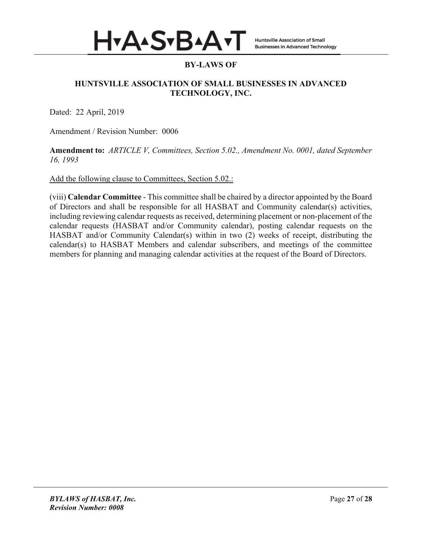

## **HUNTSVILLE ASSOCIATION OF SMALL BUSINESSES IN ADVANCED TECHNOLOGY, INC.**

Dated: 22 April, 2019

Amendment / Revision Number: 0006

**Amendment to:** *ARTICLE V, Committees, Section 5.02., Amendment No. 0001, dated September 16, 1993*

Add the following clause to Committees, Section 5.02.:

(viii) **Calendar Committee** - This committee shall be chaired by a director appointed by the Board of Directors and shall be responsible for all HASBAT and Community calendar(s) activities, including reviewing calendar requests as received, determining placement or non-placement of the calendar requests (HASBAT and/or Community calendar), posting calendar requests on the HASBAT and/or Community Calendar(s) within in two (2) weeks of receipt, distributing the calendar(s) to HASBAT Members and calendar subscribers, and meetings of the committee members for planning and managing calendar activities at the request of the Board of Directors.